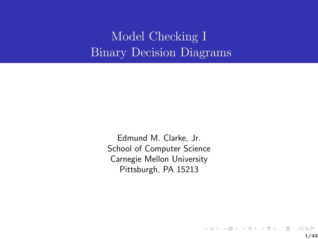Model Checking I Binary Decision Diagrams

> Edmund M. Clarke, Jr. School of Computer Science Carnegie Mellon University Pittsburgh, PA 15213

> > 1/42

 $299$ 

K ロンス 御 > ス 할 > ス 할 > 「 할 …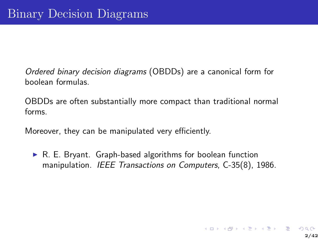Ordered binary decision diagrams (OBDDs) are a canonical form for boolean formulas.

OBDDs are often substantially more compact than traditional normal forms.

Moreover, they can be manipulated very efficiently.

 $\triangleright$  R. E. Bryant. Graph-based algorithms for boolean function manipulation. IEEE Transactions on Computers, C-35(8), 1986.

K ロ ▶ K 個 ▶ K 결 ▶ K 결 ▶ │ 결 │ K 9 Q Q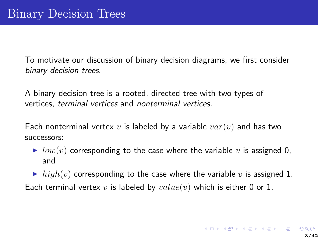To motivate our discussion of binary decision diagrams, we first consider binary decision trees.

A binary decision tree is a rooted, directed tree with two types of vertices, terminal vertices and nonterminal vertices.

Each nonterminal vertex v is labeled by a variable  $var(v)$  and has two successors:

- $\triangleright$  low(v) corresponding to the case where the variable v is assigned 0, and
- ighth high(v) corresponding to the case where the variable v is assigned 1.

Each terminal vertex v is labeled by  $value(v)$  which is either 0 or 1.

イロト イ母 トイミト イミト ニミー りんぐ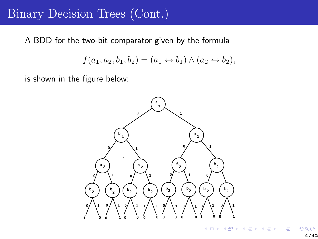#### Binary Decision Trees (Cont.)

A BDD for the two-bit comparator given by the formula

$$
f(a_1, a_2, b_1, b_2) = (a_1 \leftrightarrow b_1) \land (a_2 \leftrightarrow b_2),
$$

is shown in the figure below:

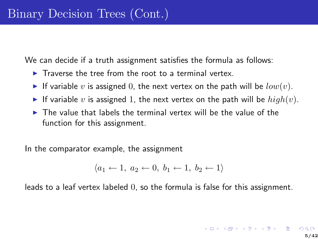We can decide if a truth assignment satisfies the formula as follows:

- $\blacktriangleright$  Traverse the tree from the root to a terminal vertex.
- If variable v is assigned 0, the next vertex on the path will be  $low(v)$ .
- If variable v is assigned 1, the next vertex on the path will be  $high(v)$ .
- $\triangleright$  The value that labels the terminal vertex will be the value of the function for this assignment.

In the comparator example, the assignment

$$
\langle a_1 \leftarrow 1, a_2 \leftarrow 0, b_1 \leftarrow 1, b_2 \leftarrow 1 \rangle
$$

leads to a leaf vertex labeled 0, so the formula is false for this assignment.

メロトメ 御 トメ 君 トメ 君 トッ 君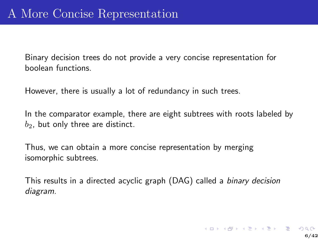Binary decision trees do not provide a very concise representation for boolean functions.

However, there is usually a lot of redundancy in such trees.

In the comparator example, there are eight subtrees with roots labeled by  $b_2$ , but only three are distinct.

Thus, we can obtain a more concise representation by merging isomorphic subtrees.

This results in a directed acyclic graph (DAG) called a *binary decision* diagram.

K ロ ▶ K @ ▶ K 할 ▶ K 할 ▶ | 할 | X 9 Q @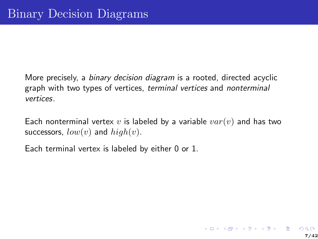More precisely, a binary decision diagram is a rooted, directed acyclic graph with two types of vertices, terminal vertices and nonterminal vertices.

Each nonterminal vertex  $v$  is labeled by a variable  $var(v)$  and has two successors,  $low(v)$  and  $high(v)$ .

Each terminal vertex is labeled by either 0 or 1.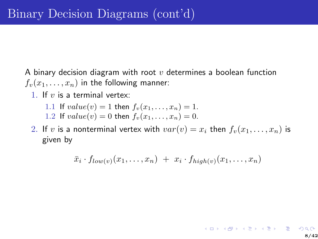A binary decision diagram with root  $v$  determines a boolean function  $f_v(x_1,\ldots,x_n)$  in the following manner:

- 1. If  $v$  is a terminal vertex:
	- 1.1 If  $value(v) = 1$  then  $f_v(x_1, ..., x_n) = 1$ .
	- 1.2 If  $value(v) = 0$  then  $f_v(x_1, \ldots, x_n) = 0$ .
- 2. If v is a nonterminal vertex with  $var(v) = x_i$  then  $f_v(x_1, \ldots, x_n)$  is given by

$$
\bar{x}_i \cdot f_{low(v)}(x_1,\ldots,x_n) + x_i \cdot f_{high(v)}(x_1,\ldots,x_n)
$$

8/42

**K ロ ▶ K 御 ▶ K 重 ▶ K 重 ▶ 「重 」 の 9,0**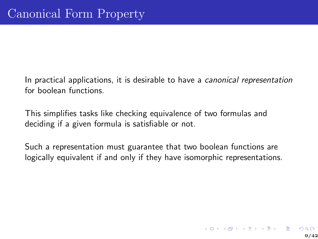In practical applications, it is desirable to have a canonical representation for boolean functions.

This simplifies tasks like checking equivalence of two formulas and deciding if a given formula is satisfiable or not.

Such a representation must guarantee that two boolean functions are logically equivalent if and only if they have isomorphic representations.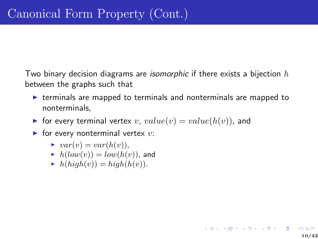Two binary decision diagrams are *isomorphic* if there exists a bijection  $h$ between the graphs such that

 $\triangleright$  terminals are mapped to terminals and nonterminals are mapped to nonterminals,

10/42

**K ロ ▶ K 御 ▶ K 重 ▶ K 重 ▶ 「重 」 の 9,0** 

- $\triangleright$  for every terminal vertex v,  $value(v) = value(h(v))$ , and
- $\blacktriangleright$  for every nonterminal vertex  $v$ :
	- $\rightarrow var(v) = var(h(v)),$
	- $h(low(v)) = low(h(v))$ , and
	- $h(hiqh(v)) = high(h(v)).$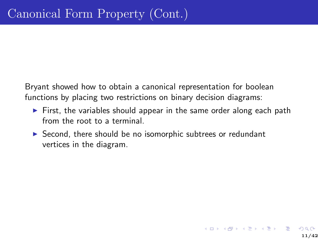Bryant showed how to obtain a canonical representation for boolean functions by placing two restrictions on binary decision diagrams:

▶ First, the variables should appear in the same order along each path from the root to a terminal.

11/42

K ロ ▶ K 個 ▶ K 결 ▶ K 결 ▶ │ 결 │ K 9 Q Q

▶ Second, there should be no isomorphic subtrees or redundant vertices in the diagram.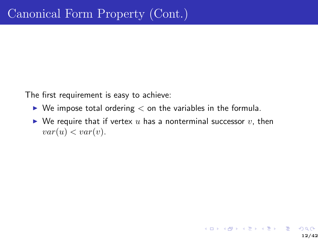The first requirement is easy to achieve:

- $\blacktriangleright$  We impose total ordering  $<$  on the variables in the formula.
- $\triangleright$  We require that if vertex u has a nonterminal successor v, then  $var(u) < var(v)$ .

12/42

イロト (部) (差) (差) (差) のQC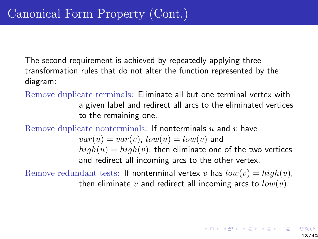The second requirement is achieved by repeatedly applying three transformation rules that do not alter the function represented by the diagram:

Remove duplicate terminals: Eliminate all but one terminal vertex with a given label and redirect all arcs to the eliminated vertices to the remaining one.

Remove duplicate nonterminals: If nonterminals  $u$  and  $v$  have

 $var(u) = var(v)$ ,  $low(u) = low(v)$  and  $high(u) = high(v)$ , then eliminate one of the two vertices and redirect all incoming arcs to the other vertex.

Remove redundant tests: If nonterminal vertex v has  $low(v) = high(v)$ , then eliminate v and redirect all incoming arcs to  $low(v)$ .

K ロ ▶ K @ ▶ K 할 ▶ K 할 ▶ → 할 → 9 Q Q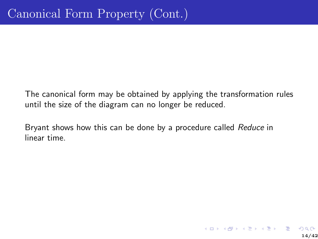The canonical form may be obtained by applying the transformation rules until the size of the diagram can no longer be reduced.

Bryant shows how this can be done by a procedure called Reduce in linear time.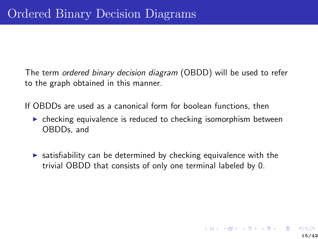The term ordered binary decision diagram (OBDD) will be used to refer to the graph obtained in this manner.

If OBDDs are used as a canonical form for boolean functions, then

- ▶ checking equivalence is reduced to checking isomorphism between OBDDs, and
- $\triangleright$  satisfiability can be determined by checking equivalence with the trivial OBDD that consists of only one terminal labeled by 0.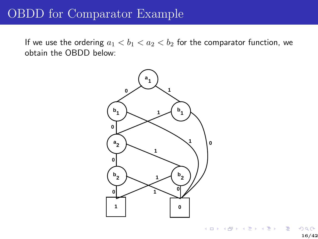### OBDD for Comparator Example

If we use the ordering  $a_1 < b_1 < a_2 < b_2$  for the comparator function, we obtain the OBDD below:

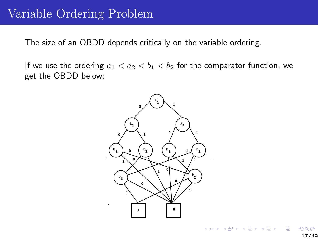#### Variable Ordering Problem

The size of an OBDD depends critically on the variable ordering.

If we use the ordering  $a_1 < a_2 < b_1 < b_2$  for the comparator function, we get the OBDD below:

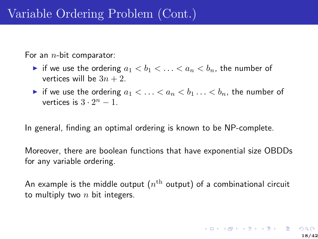For an  $n$ -bit comparator:

- if we use the ordering  $a_1 < b_1 < \ldots < a_n < b_n$ , the number of vertices will be  $3n + 2$ .
- if we use the ordering  $a_1 < \ldots < a_n < b_1 \ldots < b_n$ , the number of vertices is  $3 \cdot 2^n - 1$ .

In general, finding an optimal ordering is known to be NP-complete.

Moreover, there are boolean functions that have exponential size OBDDs for any variable ordering.

An example is the middle output  $(n^{\rm th}$  output) of a combinational circuit to multiply two  $n$  bit integers.

K ロ ▶ K @ ▶ K 할 ▶ K 할 ▶ 이 할 → 9 Q Q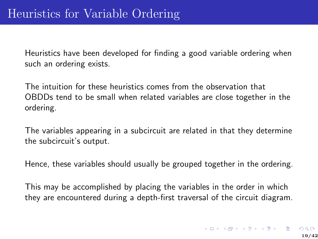Heuristics have been developed for finding a good variable ordering when such an ordering exists.

The intuition for these heuristics comes from the observation that OBDDs tend to be small when related variables are close together in the ordering.

The variables appearing in a subcircuit are related in that they determine the subcircuit's output.

Hence, these variables should usually be grouped together in the ordering.

This may be accomplished by placing the variables in the order in which they are encountered during a depth-first traversal of the circuit diagram.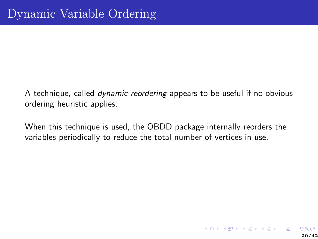A technique, called dynamic reordering appears to be useful if no obvious ordering heuristic applies.

When this technique is used, the OBDD package internally reorders the variables periodically to reduce the total number of vertices in use.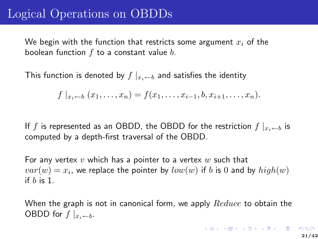### Logical Operations on OBDDs

We begin with the function that restricts some argument  $x_i$  of the boolean function  $f$  to a constant value  $b$ .

This function is denoted by  $f\mid_{x_i\leftarrow b}$  and satisfies the identity

$$
f |_{x_i \leftarrow b} (x_1, \ldots, x_n) = f(x_1, \ldots, x_{i-1}, b, x_{i+1}, \ldots, x_n).
$$

If f is represented as an OBDD, the OBDD for the restriction  $f\vert_{x_i\leftarrow b}$  is computed by a depth-first traversal of the OBDD.

For any vertex  $v$  which has a pointer to a vertex  $w$  such that  $var(w) = x_i$ , we replace the pointer by  $low(w)$  if  $b$  is  $0$  and by  $high(w)$ if  $b$  is 1.

When the graph is not in canonical form, we apply  $Reduce$  to obtain the OBDD for  $f|_{x_i \leftarrow b}$ .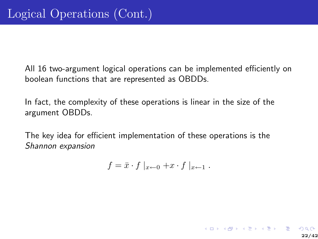All 16 two-argument logical operations can be implemented efficiently on boolean functions that are represented as OBDDs.

In fact, the complexity of these operations is linear in the size of the argument OBDDs.

The key idea for efficient implementation of these operations is the Shannon expansion

$$
f = \bar{x} \cdot f \mid_{x \leftarrow 0} + x \cdot f \mid_{x \leftarrow 1} .
$$

K ロ ▶ K 個 ▶ K 결 ▶ K 결 ▶ │ 결 │ K 9 Q Q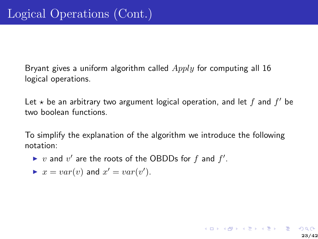Bryant gives a uniform algorithm called  $Apply$  for computing all 16 logical operations.

Let  $\star$  be an arbitrary two argument logical operation, and let  $f$  and  $f'$  be two boolean functions.

To simplify the explanation of the algorithm we introduce the following notation:

23/42

K ロ ▶ K 個 ▶ K 결 ▶ K 결 ▶ │ 결 │ K 9 Q Q

- ▶ v and v' are the roots of the OBDDs for f and  $f'$ .
- $\blacktriangleright$   $x = var(v)$  and  $x' = var(v')$ .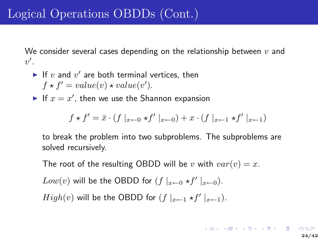We consider several cases depending on the relationship between  $v$  and  $v'$ .

- If v and  $v'$  are both terminal vertices, then  $f \star f' = value(v) \star value(v').$
- If  $x = x'$ , then we use the Shannon expansion

$$
f \star f' = \bar{x} \cdot (f |_{x \leftarrow 0} \star f' |_{x \leftarrow 0}) + x \cdot (f |_{x \leftarrow 1} \star f' |_{x \leftarrow 1})
$$

to break the problem into two subproblems. The subproblems are solved recursively.

The root of the resulting OBDD will be v with  $var(v) = x$ .

 $Low(v)$  will be the OBDD for  $(f \mid_{x \leftarrow 0} \star f' \mid_{x \leftarrow 0})$ .

 $High(v)$  will be the OBDD for  $(f \mid_{x \leftarrow 1} \star f' \mid_{x \leftarrow 1})$ .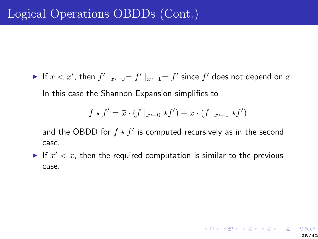If  $x < x'$ , then  $f'|_{x \leftarrow 0} = f'|_{x \leftarrow 1} = f'$  since  $f'$  does not depend on  $x$ . In this case the Shannon Expansion simplifies to

$$
f \star f' = \bar{x} \cdot (f \mid_{x \leftarrow 0} \star f') + x \cdot (f \mid_{x \leftarrow 1} \star f')
$$

and the OBDD for  $f \star f'$  is computed recursively as in the second case.

If  $x' < x$ , then the required computation is similar to the previous case.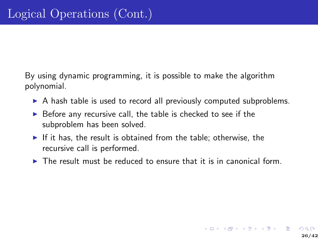By using dynamic programming, it is possible to make the algorithm polynomial.

- ▶ A hash table is used to record all previously computed subproblems.
- $\triangleright$  Before any recursive call, the table is checked to see if the subproblem has been solved.
- $\blacktriangleright$  If it has, the result is obtained from the table; otherwise, the recursive call is performed.
- $\triangleright$  The result must be reduced to ensure that it is in canonical form.

26/42

 $\mathbf{A} \equiv \mathbf{A} + \mathbf{A} + \mathbf{B} + \mathbf{A} + \mathbf{B} + \mathbf{A} + \mathbf{B} + \mathbf{A} + \mathbf{B} + \mathbf{A} + \mathbf{B} + \mathbf{A} + \mathbf{B} + \mathbf{A} + \mathbf{B} + \mathbf{A} + \mathbf{B} + \mathbf{A} + \mathbf{B} + \mathbf{A} + \mathbf{B} + \mathbf{A} + \mathbf{B} + \mathbf{A} + \mathbf{B} + \mathbf{A} + \mathbf{B} + \mathbf{A} + \mathbf{B} + \mathbf{A} + \math$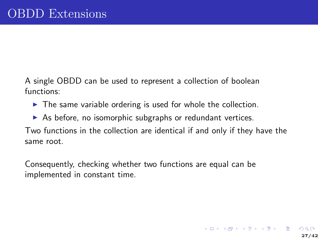A single OBDD can be used to represent a collection of boolean functions:

- $\triangleright$  The same variable ordering is used for whole the collection.
- $\triangleright$  As before, no isomorphic subgraphs or redundant vertices.

Two functions in the collection are identical if and only if they have the same root.

Consequently, checking whether two functions are equal can be implemented in constant time.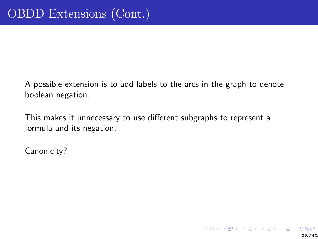A possible extension is to add labels to the arcs in the graph to denote boolean negation.

This makes it unnecessary to use different subgraphs to represent a formula and its negation.

Canonicity?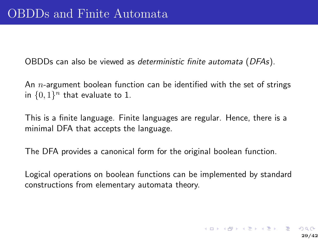OBDDs can also be viewed as deterministic finite automata (DFAs).

An  $n$ -argument boolean function can be identified with the set of strings in  $\{0,1\}^n$  that evaluate to 1.

This is a finite language. Finite languages are regular. Hence, there is a minimal DFA that accepts the language.

The DFA provides a canonical form for the original boolean function.

Logical operations on boolean functions can be implemented by standard constructions from elementary automata theory.

K ロ K K (P) K (P) K (P) K (P) X (P) X (P) X (P) X (P) X (P) X (P) X (P) X (P) X (P) X (P) X (P) X (P) X (P) X (P) X (P) X (P) X (P) X (P) X (P) X (P) X (P) X (P) X (P) X (P) X (P) X (P) X (P) X (P) X (P) X (P) X (P) X (P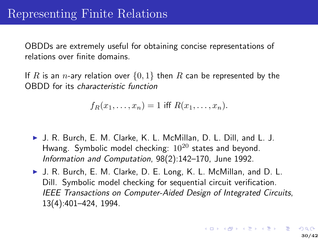OBDDs are extremely useful for obtaining concise representations of relations over finite domains.

If R is an n-ary relation over  $\{0,1\}$  then R can be represented by the OBDD for its characteristic function

$$
f_R(x_1,\ldots,x_n)=1
$$
 iff  $R(x_1,\ldots,x_n)$ .

- ▶ J. R. Burch, E. M. Clarke, K. L. McMillan, D. L. Dill, and L. J. Hwang. Symbolic model checking:  $10^{20}$  states and beyond. Information and Computation, 98(2):142–170, June 1992.
- ▶ J. R. Burch, E. M. Clarke, D. E. Long, K. L. McMillan, and D. L. Dill. Symbolic model checking for sequential circuit verification. IEEE Transactions on Computer-Aided Design of Integrated Circuits, 13(4):401–424, 1994.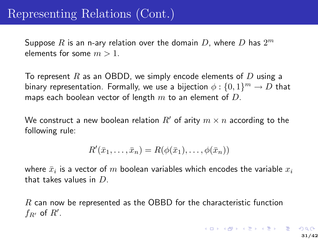# Representing Relations (Cont.)

Suppose  $R$  is an n-ary relation over the domain  $D$ , where  $D$  has  $2^m$ elements for some  $m > 1$ .

To represent R as an OBDD, we simply encode elements of D using a binary representation. Formally, we use a bijection  $\phi:\{0,1\}^m \rightarrow D$  that maps each boolean vector of length  $m$  to an element of  $D$ .

We construct a new boolean relation R' of arity  $m \times n$  according to the following rule:

$$
R'(\bar{x}_1,\ldots,\bar{x}_n)=R(\phi(\bar{x}_1),\ldots,\phi(\bar{x}_n))
$$

where  $\bar{x}_i$  is a vector of  $m$  boolean variables which encodes the variable  $x_i$ that takes values in D.

R can now be represented as the OBBD for the characteristic function  $f_{R'}$  of  $R'$ .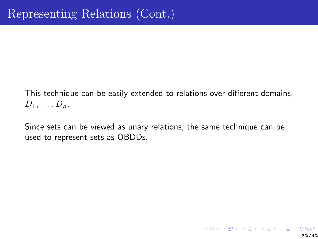This technique can be easily extended to relations over different domains,  $D_1, \ldots, D_n$ .

Since sets can be viewed as unary relations, the same technique can be used to represent sets as OBDDs.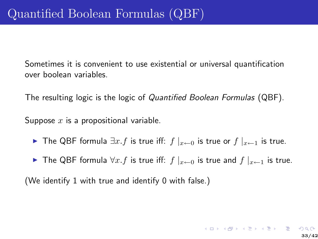Sometimes it is convenient to use existential or universal quantification over boolean variables.

The resulting logic is the logic of Quantified Boolean Formulas (QBF).

Suppose  $x$  is a propositional variable.

- ► The QBF formula  $\exists x.f$  is true iff:  $f\vert_{x\leftarrow 0}$  is true or  $f\vert_{x\leftarrow 1}$  is true.
- ► The QBF formula  $\forall x.f$  is true iff:  $f\vert_{x\leftarrow 0}$  is true and  $f\vert_{x\leftarrow 1}$  is true.

(We identify 1 with true and identify 0 with false.)

K ロ K K (P) K (P) K (P) K (P) X (P) X (P) X (P) X (P) X (P) X (P) X (P) X (P) X (P) X (P) X (P) X (P) X (P) X (P) X (P) X (P) X (P) X (P) X (P) X (P) X (P) X (P) X (P) X (P) X (P) X (P) X (P) X (P) X (P) X (P) X (P) X (P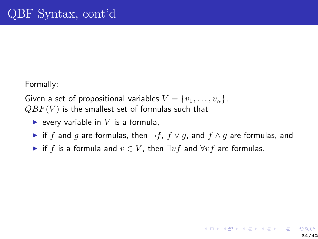Formally:

Given a set of propositional variables  $V = \{v_1, \ldots, v_n\},\$  $QBF(V)$  is the smallest set of formulas such that

- $\blacktriangleright$  every variable in V is a formula,
- ► if f and g are formulas, then  $\neg f$ ,  $f \lor g$ , and  $f \land g$  are formulas, and
- ► if f is a formula and  $v \in V$ , then  $\exists v f$  and  $\forall v f$  are formulas.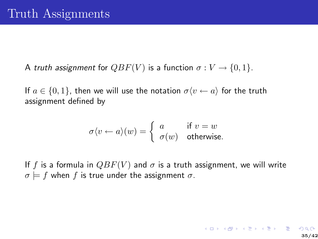A truth assignment for  $QBF(V)$  is a function  $\sigma: V \to \{0,1\}.$ 

If  $a \in \{0,1\}$ , then we will use the notation  $\sigma \langle v \leftarrow a \rangle$  for the truth assignment defined by

$$
\sigma \langle v \leftarrow a \rangle (w) = \begin{cases} a & \text{if } v = w \\ \sigma(w) & \text{otherwise.} \end{cases}
$$

If f is a formula in  $QBF(V)$  and  $\sigma$  is a truth assignment, we will write  $\sigma \models f$  when f is true under the assignment  $\sigma$ .

K ロ > K @ ▶ K 할 > K 할 > 1 할 : X 9 Q Q\*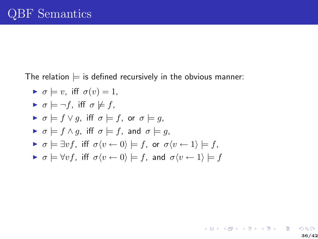The relation  $\models$  is defined recursively in the obvious manner:

\n- $$
\sigma \models v
$$
, iff  $\sigma(v) = 1$ ,
\n- $\sigma \models \neg f$ , iff  $\sigma \not\models f$ ,
\n- $\sigma \models f \lor g$ , iff  $\sigma \models f$ , or  $\sigma \models g$ ,
\n- $\sigma \models f \land g$ , iff  $\sigma \models f$ , and  $\sigma \models g$ ,
\n- $\sigma \models \exists v f$ , iff  $\sigma \langle v \leftarrow 0 \rangle \models f$ , or  $\sigma \langle v \leftarrow 1 \rangle \models f$ ,
\n- $\sigma \models \forall v f$ , iff  $\sigma \langle v \leftarrow 0 \rangle \models f$ , and  $\sigma \langle v \leftarrow 1 \rangle \models f$ .
\n

36/42

K ロ X K d X K 전 X K 전 X X X X X X X X X 전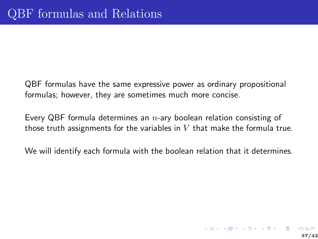QBF formulas have the same expressive power as ordinary propositional formulas; however, they are sometimes much more concise.

Every QBF formula determines an  $n$ -ary boolean relation consisting of those truth assignments for the variables in  $V$  that make the formula true.

We will identify each formula with the boolean relation that it determines.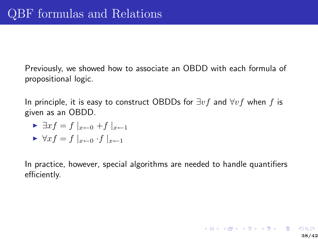Previously, we showed how to associate an OBDD with each formula of propositional logic.

In principle, it is easy to construct OBDDs for  $\exists v f$  and  $\forall v f$  when f is given as an OBDD.

$$
\blacktriangleright \exists x f = f \mid_{x \leftarrow 0} + f \mid_{x \leftarrow 1}
$$

 $\forall x f = f \mid_{x \leftarrow 0} f \mid_{x \leftarrow 1}$ 

In practice, however, special algorithms are needed to handle quantifiers efficiently.

38/42

K ロ ▶ K 個 ▶ K 결 ▶ K 결 ▶ │ 결 │ K 9 Q Q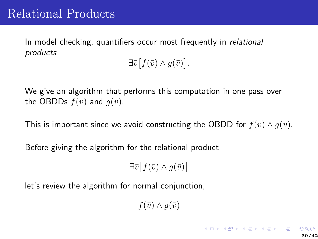In model checking, quantifiers occur most frequently in relational products

 $\exists \bar{v} \big[ f(\bar{v}) \wedge g(\bar{v}) \big].$ 

We give an algorithm that performs this computation in one pass over the OBDDs  $f(\bar{v})$  and  $g(\bar{v})$ .

This is important since we avoid constructing the OBDD for  $f(\bar{v}) \wedge g(\bar{v})$ .

Before giving the algorithm for the relational product

 $\exists \bar{v} \big[ f(\bar{v}) \wedge g(\bar{v}) \big]$ 

let's review the algorithm for normal conjunction,

 $f(\bar{v}) \wedge q(\bar{v})$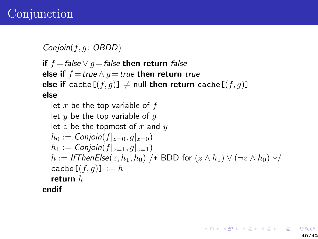# Conjunction

 $Conjoin(f, g: OBDD)$ 

if  $f = false \vee g = false$  then return false else if  $f = true \land g = true$  then return true else if cache $[(f, g)] \neq$  null then return cache $[(f, g)]$ else

let *x* be the top variable of *f*  
let *y* be the top variable of *g*  
let *z* be the topmost of *x* and *y*  

$$
h_0 := \text{Conjoin}(f|_{z=0}, g|_{z=0})
$$
  
 $h_1 := \text{Conjoin}(f|_{z=1}, g|_{z=1})$   
 $h := \text{IfThenElse}(z, h_1, h_0) \text{ /* BDD for } (z \land h_1) \lor (\neg z \land h_0) \ast /$   
cache  $[(f, g)] := h$   
return *h*  
endif

K ロ ▶ K 個 ▶ K 결 ▶ K 결 ▶ │ 결 │ K 9 Q Q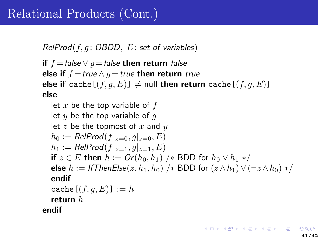# Relational Products (Cont.)

 $RelProd(f, g: OBDD, E: set of variables)$ 

if  $f = false \vee g = false$  then return false else if  $f = true \land q = true$  then return true else if cache  $[(f, g, E)] \neq$  null then return cache  $[(f, g, E)]$ else

let *x* be the top variable of *f*  
let *y* be the top variable of *g*  
let *z* be the topmost of *x* and *y*  

$$
h_0 := RelProd(f|_{z=0}, g|_{z=0}, E)
$$
  
 $h_1 := RelProd(f|_{z=1}, g|_{z=1}, E)$   
if  $z \in E$  then  $h := Or(h_0, h_1) \nmid * BDD$  for  $h_0 \lor h_1 \nmid *$   
else  $h := I$  ThenElse( $z, h_1, h_0$ )  $\nmid *$  BDD for ( $z \land h_1$ )  $\lor$  ( $\neg z \land h_0$ )  $\nmid$   
endif  
cache  $[(f, g, E)] := h$   
return *h*  
endif  

メロトメ 御 トメ 君 トメ 君 トッ 君